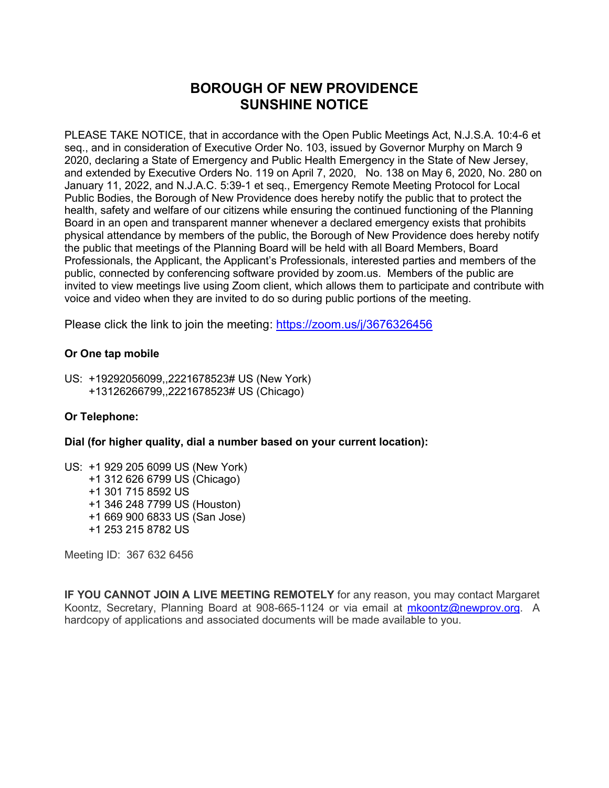# **BOROUGH OF NEW PROVIDENCE SUNSHINE NOTICE**

PLEASE TAKE NOTICE, that in accordance with the Open Public Meetings Act, N.J.S.A. 10:4-6 et seq., and in consideration of Executive Order No. 103, issued by Governor Murphy on March 9 2020, declaring a State of Emergency and Public Health Emergency in the State of New Jersey, and extended by Executive Orders No. 119 on April 7, 2020, No. 138 on May 6, 2020, No. 280 on January 11, 2022, and N.J.A.C. 5:39-1 et seq., Emergency Remote Meeting Protocol for Local Public Bodies, the Borough of New Providence does hereby notify the public that to protect the health, safety and welfare of our citizens while ensuring the continued functioning of the Planning Board in an open and transparent manner whenever a declared emergency exists that prohibits physical attendance by members of the public, the Borough of New Providence does hereby notify the public that meetings of the Planning Board will be held with all Board Members, Board Professionals, the Applicant, the Applicant's Professionals, interested parties and members of the public, connected by conferencing software provided by zoom.us. Members of the public are invited to view meetings live using Zoom client, which allows them to participate and contribute with voice and video when they are invited to do so during public portions of the meeting.

Please click the link to join the meeting:<https://zoom.us/j/3676326456>

## **Or One tap mobile**

US: +19292056099,,2221678523# US (New York) +13126266799,,2221678523# US (Chicago)

## **Or Telephone:**

**Dial (for higher quality, dial a number based on your current location):**

US: +1 929 205 6099 US (New York) +1 312 626 6799 US (Chicago) +1 301 715 8592 US +1 346 248 7799 US (Houston) +1 669 900 6833 US (San Jose) +1 253 215 8782 US

Meeting ID: 367 632 6456

**IF YOU CANNOT JOIN A LIVE MEETING REMOTELY** for any reason, you may contact Margaret Koontz, Secretary, Planning Board at 908-665-1124 or via email at [mkoontz@newprov.org.](mailto:mkoontz@newprov.org) A hardcopy of applications and associated documents will be made available to you.